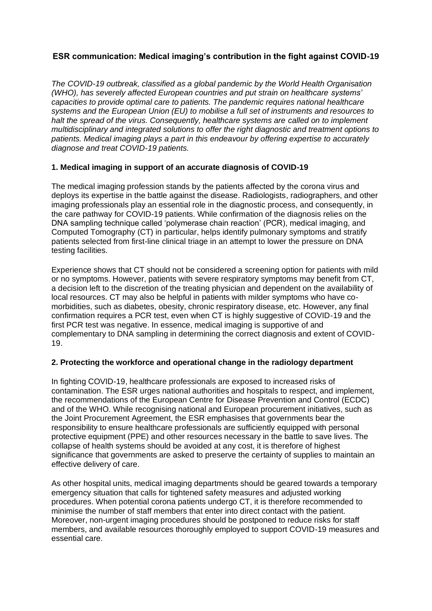# **ESR communication: Medical imaging's contribution in the fight against COVID-19**

*The COVID-19 outbreak, classified as a global pandemic by the World Health Organisation (WHO), has severely affected European countries and put strain on healthcare systems' capacities to provide optimal care to patients. The pandemic requires national healthcare systems and the European Union (EU) to mobilise a full set of instruments and resources to halt the spread of the virus. Consequently, healthcare systems are called on to implement multidisciplinary and integrated solutions to offer the right diagnostic and treatment options to patients. Medical imaging plays a part in this endeavour by offering expertise to accurately diagnose and treat COVID-19 patients.*

### **1. Medical imaging in support of an accurate diagnosis of COVID-19**

The medical imaging profession stands by the patients affected by the corona virus and deploys its expertise in the battle against the disease. Radiologists, radiographers, and other imaging professionals play an essential role in the diagnostic process, and consequently, in the care pathway for COVID-19 patients. While confirmation of the diagnosis relies on the DNA sampling technique called 'polymerase chain reaction' (PCR), medical imaging, and Computed Tomography (CT) in particular, helps identify pulmonary symptoms and stratify patients selected from first-line clinical triage in an attempt to lower the pressure on DNA testing facilities.

Experience shows that CT should not be considered a screening option for patients with mild or no symptoms. However, patients with severe respiratory symptoms may benefit from CT, a decision left to the discretion of the treating physician and dependent on the availability of local resources. CT may also be helpful in patients with milder symptoms who have comorbidities, such as diabetes, obesity, chronic respiratory disease, etc. However, any final confirmation requires a PCR test, even when CT is highly suggestive of COVID-19 and the first PCR test was negative. In essence, medical imaging is supportive of and complementary to DNA sampling in determining the correct diagnosis and extent of COVID-19.

### **2. Protecting the workforce and operational change in the radiology department**

In fighting COVID-19, healthcare professionals are exposed to increased risks of contamination. The ESR urges national authorities and hospitals to respect, and implement, the recommendations of the European Centre for Disease Prevention and Control (ECDC) and of the WHO. While recognising national and European procurement initiatives, such as the Joint Procurement Agreement, the ESR emphasises that governments bear the responsibility to ensure healthcare professionals are sufficiently equipped with personal protective equipment (PPE) and other resources necessary in the battle to save lives. The collapse of health systems should be avoided at any cost, it is therefore of highest significance that governments are asked to preserve the certainty of supplies to maintain an effective delivery of care.

As other hospital units, medical imaging departments should be geared towards a temporary emergency situation that calls for tightened safety measures and adjusted working procedures. When potential corona patients undergo CT, it is therefore recommended to minimise the number of staff members that enter into direct contact with the patient. Moreover, non-urgent imaging procedures should be postponed to reduce risks for staff members, and available resources thoroughly employed to support COVID-19 measures and essential care.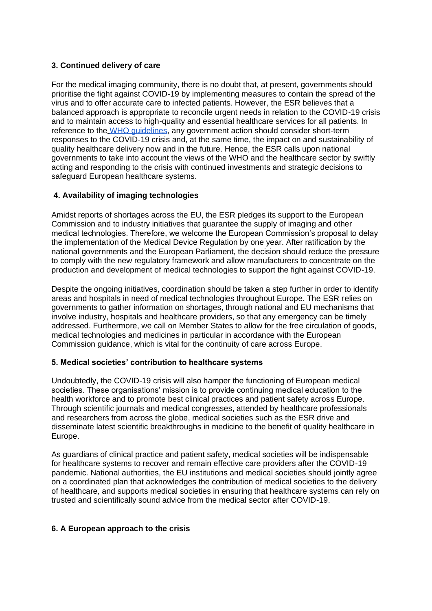### **3. Continued delivery of care**

For the medical imaging community, there is no doubt that, at present, governments should prioritise the fight against COVID-19 by implementing measures to contain the spread of the virus and to offer accurate care to infected patients. However, the ESR believes that a balanced approach is appropriate to reconcile urgent needs in relation to the COVID-19 crisis and to maintain access to high-quality and essential healthcare services for all patients. In reference to the [WHO guidelines,](https://www.who.int/publications-detail/covid-19-operational-guidance-for-maintaining-essential-health-services-during-an-outbreak) any government action should consider short-term responses to the COVID-19 crisis and, at the same time, the impact on and sustainability of quality healthcare delivery now and in the future. Hence, the ESR calls upon national governments to take into account the views of the WHO and the healthcare sector by swiftly acting and responding to the crisis with continued investments and strategic decisions to safeguard European healthcare systems.

### **4. Availability of imaging technologies**

Amidst reports of shortages across the EU, the ESR pledges its support to the European Commission and to industry initiatives that guarantee the supply of imaging and other medical technologies. Therefore, we welcome the European Commission's proposal to delay the implementation of the Medical Device Regulation by one year. After ratification by the national governments and the European Parliament, the decision should reduce the pressure to comply with the new regulatory framework and allow manufacturers to concentrate on the production and development of medical technologies to support the fight against COVID-19.

Despite the ongoing initiatives, coordination should be taken a step further in order to identify areas and hospitals in need of medical technologies throughout Europe. The ESR relies on governments to gather information on shortages, through national and EU mechanisms that involve industry, hospitals and healthcare providers, so that any emergency can be timely addressed. Furthermore, we call on Member States to allow for the free circulation of goods, medical technologies and medicines in particular in accordance with the European Commission guidance, which is vital for the continuity of care across Europe.

### **5. Medical societies' contribution to healthcare systems**

Undoubtedly, the COVID-19 crisis will also hamper the functioning of European medical societies. These organisations' mission is to provide continuing medical education to the health workforce and to promote best clinical practices and patient safety across Europe. Through scientific journals and medical congresses, attended by healthcare professionals and researchers from across the globe, medical societies such as the ESR drive and disseminate latest scientific breakthroughs in medicine to the benefit of quality healthcare in Europe.

As guardians of clinical practice and patient safety, medical societies will be indispensable for healthcare systems to recover and remain effective care providers after the COVID-19 pandemic. National authorities, the EU institutions and medical societies should jointly agree on a coordinated plan that acknowledges the contribution of medical societies to the delivery of healthcare, and supports medical societies in ensuring that healthcare systems can rely on trusted and scientifically sound advice from the medical sector after COVID-19.

### **6. A European approach to the crisis**